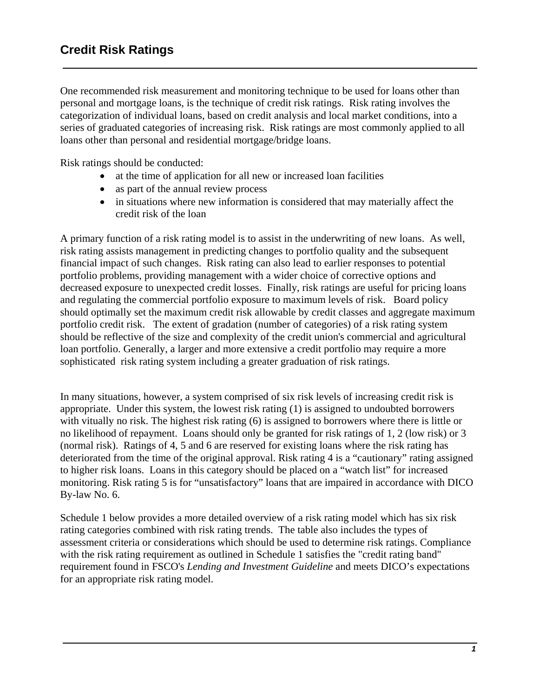One recommended risk measurement and monitoring technique to be used for loans other than personal and mortgage loans, is the technique of credit risk ratings. Risk rating involves the categorization of individual loans, based on credit analysis and local market conditions, into a series of graduated categories of increasing risk. Risk ratings are most commonly applied to all loans other than personal and residential mortgage/bridge loans.

Risk ratings should be conducted:

- at the time of application for all new or increased loan facilities
- as part of the annual review process
- in situations where new information is considered that may materially affect the credit risk of the loan

A primary function of a risk rating model is to assist in the underwriting of new loans. As well, risk rating assists management in predicting changes to portfolio quality and the subsequent financial impact of such changes. Risk rating can also lead to earlier responses to potential portfolio problems, providing management with a wider choice of corrective options and decreased exposure to unexpected credit losses. Finally, risk ratings are useful for pricing loans and regulating the commercial portfolio exposure to maximum levels of risk. Board policy should optimally set the maximum credit risk allowable by credit classes and aggregate maximum portfolio credit risk. The extent of gradation (number of categories) of a risk rating system should be reflective of the size and complexity of the credit union's commercial and agricultural loan portfolio. Generally, a larger and more extensive a credit portfolio may require a more sophisticated risk rating system including a greater graduation of risk ratings.

In many situations, however, a system comprised of six risk levels of increasing credit risk is appropriate. Under this system, the lowest risk rating (1) is assigned to undoubted borrowers with vitually no risk. The highest risk rating (6) is assigned to borrowers where there is little or no likelihood of repayment. Loans should only be granted for risk ratings of 1, 2 (low risk) or 3 (normal risk). Ratings of 4, 5 and 6 are reserved for existing loans where the risk rating has deteriorated from the time of the original approval. Risk rating 4 is a "cautionary" rating assigned to higher risk loans. Loans in this category should be placed on a "watch list" for increased monitoring. Risk rating 5 is for "unsatisfactory" loans that are impaired in accordance with DICO By-law No. 6.

Schedule 1 below provides a more detailed overview of a risk rating model which has six risk rating categories combined with risk rating trends. The table also includes the types of assessment criteria or considerations which should be used to determine risk ratings. Compliance with the risk rating requirement as outlined in Schedule 1 satisfies the "credit rating band" requirement found in FSCO's *Lending and Investment Guideline* and meets DICO's expectations for an appropriate risk rating model.